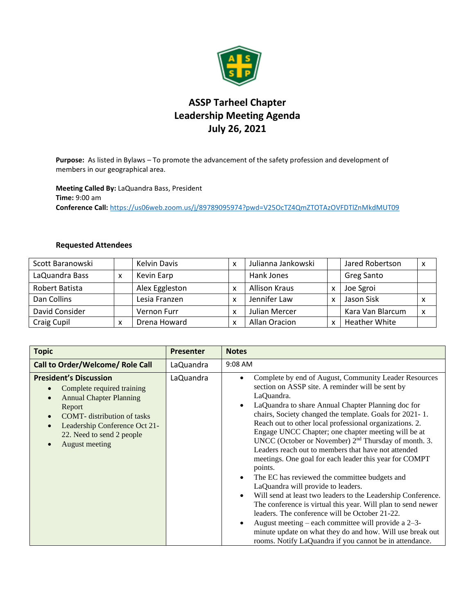

## **ASSP Tarheel Chapter Leadership Meeting Agenda July 26, 2021**

**Purpose:** As listed in Bylaws – To promote the advancement of the safety profession and development of members in our geographical area.

**Meeting Called By:** LaQuandra Bass, President **Time:** 9:00 am **Conference Call:** <https://us06web.zoom.us/j/89789095974?pwd=V25OcTZ4QmZTOTAzOVFDTlZnMkdMUT09>

## **Requested Attendees**

| Scott Baranowski |   | <b>Kelvin Davis</b> | x | Julianna Jankowski   | Jared Robertson      | x |
|------------------|---|---------------------|---|----------------------|----------------------|---|
| LaQuandra Bass   | x | Kevin Earp          |   | Hank Jones           | <b>Greg Santo</b>    |   |
| Robert Batista   |   | Alex Eggleston      | x | <b>Allison Kraus</b> | Joe Sgroi            |   |
| Dan Collins      |   | Lesia Franzen       | x | Jennifer Law         | Jason Sisk           | x |
| David Consider   |   | Vernon Furr         | x | Julian Mercer        | Kara Van Blarcum     | X |
| Craig Cupil      | x | Drena Howard        | x | Allan Oracion        | <b>Heather White</b> |   |

| <b>Topic</b>                                                                                                                                                                                                                                | <b>Presenter</b> | <b>Notes</b>                                                                                                                                                                                                                                                                                                                                                                                                                                                                                                                                                                                                                                                                                                                                                                                                                                                                                                                                                                                                                                    |
|---------------------------------------------------------------------------------------------------------------------------------------------------------------------------------------------------------------------------------------------|------------------|-------------------------------------------------------------------------------------------------------------------------------------------------------------------------------------------------------------------------------------------------------------------------------------------------------------------------------------------------------------------------------------------------------------------------------------------------------------------------------------------------------------------------------------------------------------------------------------------------------------------------------------------------------------------------------------------------------------------------------------------------------------------------------------------------------------------------------------------------------------------------------------------------------------------------------------------------------------------------------------------------------------------------------------------------|
| Call to Order/Welcome/ Role Call                                                                                                                                                                                                            | LaQuandra        | 9:08 AM                                                                                                                                                                                                                                                                                                                                                                                                                                                                                                                                                                                                                                                                                                                                                                                                                                                                                                                                                                                                                                         |
| <b>President's Discussion</b><br>Complete required training<br><b>Annual Chapter Planning</b><br>Report<br><b>COMT</b> - distribution of tasks<br>Leadership Conference Oct 21-<br>$\bullet$<br>22. Need to send 2 people<br>August meeting | LaQuandra        | Complete by end of August, Community Leader Resources<br>$\bullet$<br>section on ASSP site. A reminder will be sent by<br>LaQuandra.<br>LaQuandra to share Annual Chapter Planning doc for<br>chairs, Society changed the template. Goals for 2021-1.<br>Reach out to other local professional organizations. 2.<br>Engage UNCC Chapter; one chapter meeting will be at<br>UNCC (October or November) 2 <sup>nd</sup> Thursday of month. 3.<br>Leaders reach out to members that have not attended<br>meetings. One goal for each leader this year for COMPT<br>points.<br>The EC has reviewed the committee budgets and<br>LaQuandra will provide to leaders.<br>Will send at least two leaders to the Leadership Conference.<br>$\bullet$<br>The conference is virtual this year. Will plan to send newer<br>leaders. The conference will be October 21-22.<br>August meeting – each committee will provide a $2-3$ -<br>minute update on what they do and how. Will use break out<br>rooms. Notify LaQuandra if you cannot be in attendance. |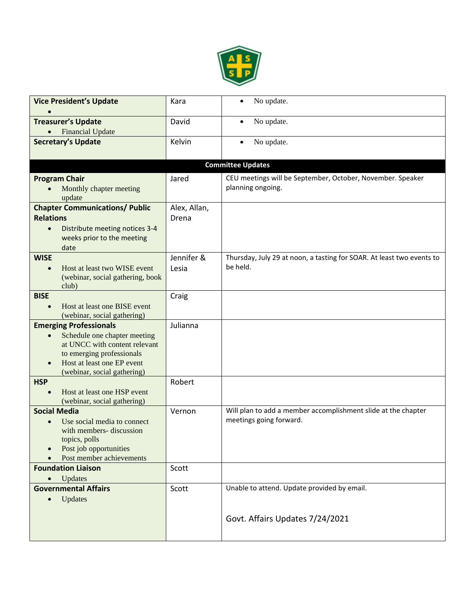

| <b>Vice President's Update</b>                                                                                                                                                                                     | Kara                  | No update.                                                                               |
|--------------------------------------------------------------------------------------------------------------------------------------------------------------------------------------------------------------------|-----------------------|------------------------------------------------------------------------------------------|
| <b>Treasurer's Update</b><br><b>Financial Update</b>                                                                                                                                                               | David                 | No update.<br>$\bullet$                                                                  |
| <b>Secretary's Update</b>                                                                                                                                                                                          | Kelvin                | No update.                                                                               |
|                                                                                                                                                                                                                    |                       | <b>Committee Updates</b>                                                                 |
| <b>Program Chair</b><br>Monthly chapter meeting<br>update                                                                                                                                                          | Jared                 | CEU meetings will be September, October, November. Speaker<br>planning ongoing.          |
| <b>Chapter Communications/ Public</b><br><b>Relations</b><br>Distribute meeting notices 3-4<br>$\bullet$<br>weeks prior to the meeting<br>date                                                                     | Alex, Allan,<br>Drena |                                                                                          |
| <b>WISE</b><br>Host at least two WISE event<br>$\bullet$<br>(webinar, social gathering, book<br>club)                                                                                                              | Jennifer &<br>Lesia   | Thursday, July 29 at noon, a tasting for SOAR. At least two events to<br>be held.        |
| <b>BISE</b><br>Host at least one BISE event<br>(webinar, social gathering)                                                                                                                                         | Craig                 |                                                                                          |
| <b>Emerging Professionals</b><br>Schedule one chapter meeting<br>$\bullet$<br>at UNCC with content relevant<br>to emerging professionals<br>Host at least one EP event<br>$\bullet$<br>(webinar, social gathering) | Julianna              |                                                                                          |
| <b>HSP</b><br>Host at least one HSP event<br>(webinar, social gathering)                                                                                                                                           | Robert                |                                                                                          |
| <b>Social Media</b><br>Use social media to connect<br>$\bullet$<br>with members- discussion<br>topics, polls<br>Post job opportunities<br>Post member achievements                                                 | Vernon                | Will plan to add a member accomplishment slide at the chapter<br>meetings going forward. |
| <b>Foundation Liaison</b><br>Updates                                                                                                                                                                               | Scott                 |                                                                                          |
| <b>Governmental Affairs</b><br>Updates<br>$\bullet$                                                                                                                                                                | Scott                 | Unable to attend. Update provided by email.                                              |
|                                                                                                                                                                                                                    |                       | Govt. Affairs Updates 7/24/2021                                                          |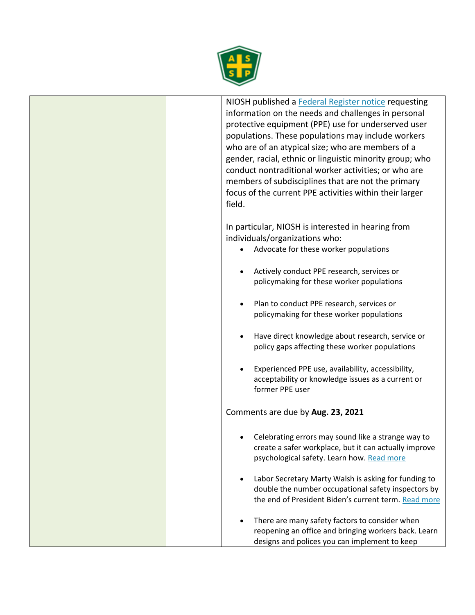

NIOSH published a [Federal Register notice](https://gcc02.safelinks.protection.outlook.com/?url=https%3A%2F%2Fwww.federalregister.gov%2Fdocuments%2F2021%2F06%2F24%2F2021-13263%2Fneeds-and-challenges-in-personal-protective-equipment-ppe-use-for-underserved-user-populations&data=04%7C01%7CKalinowski.Doug%40dol.gov%7C09903516d5764d61319a08d93a34bb95%7C75a6305472044e0c9126adab971d4aca%7C0%7C0%7C637604820417848163%7CUnknown%7CTWFpbGZsb3d8eyJWIjoiMC4wLjAwMDAiLCJQIjoiV2luMzIiLCJBTiI6Ik1haWwiLCJXVCI6Mn0%3D%7C1000&sdata=r7m5fpbXUlQ%2B4s8w8hCli8e54YDzIsCNayW6Qn1iExg%3D&reserved=0) requesting information on the needs and challenges in personal protective equipment (PPE) use for underserved user populations. These populations may include workers who are of an atypical size; who are members of a gender, racial, ethnic or linguistic minority group; who conduct nontraditional worker activities; or who are members of subdisciplines that are not the primary focus of the current PPE activities within their larger field. In particular, NIOSH is interested in hearing from individuals/organizations who: • Advocate for these worker populations • Actively conduct PPE research, services or policymaking for these worker populations • Plan to conduct PPE research, services or policymaking for these worker populations • Have direct knowledge about research, service or policy gaps affecting these worker populations • Experienced PPE use, availability, accessibility, acceptability or knowledge issues as a current or former PPE user Comments are due by **Aug. 23, 2021** • Celebrating errors may sound like a strange way to create a safer workplace, but it can actually improve psychological safety. Learn how. [Read more](https://www.forbes.com/sites/nelldebevoise/2021/05/29/celebrating-errors-creates-psychological-safety-in-the-workplace/?sh=ef905934dbcd) Labor Secretary Marty Walsh is asking for funding to double the number occupational safety inspectors by the end of President Biden's current term. [Read more](https://news.bloomberglaw.com/daily-labor-report/walsh-pitches-planned-hiring-spree-for-wage-safety-inspectors) There are many safety factors to consider when reopening an office and bringing workers back. Learn designs and polices you can implement to keep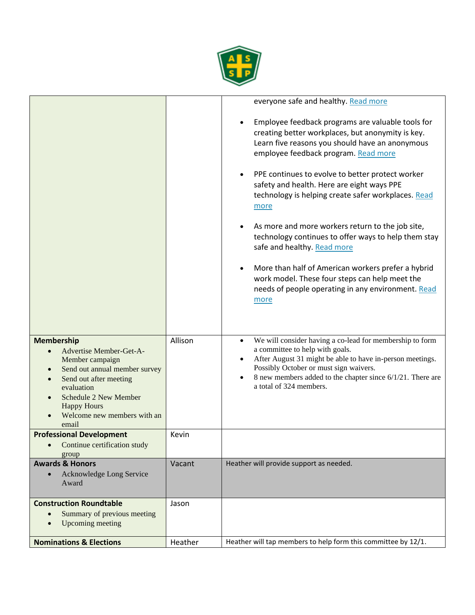

п

|                                                                                                                                                                                                                                                                                            |         | everyone safe and healthy. Read more<br>Employee feedback programs are valuable tools for<br>creating better workplaces, but anonymity is key.<br>Learn five reasons you should have an anonymous<br>employee feedback program. Read more<br>PPE continues to evolve to better protect worker<br>safety and health. Here are eight ways PPE<br>technology is helping create safer workplaces. Read<br>more<br>As more and more workers return to the job site,<br>technology continues to offer ways to help them stay<br>safe and healthy. Read more<br>More than half of American workers prefer a hybrid<br>work model. These four steps can help meet the<br>needs of people operating in any environment. Read<br>more |
|--------------------------------------------------------------------------------------------------------------------------------------------------------------------------------------------------------------------------------------------------------------------------------------------|---------|-----------------------------------------------------------------------------------------------------------------------------------------------------------------------------------------------------------------------------------------------------------------------------------------------------------------------------------------------------------------------------------------------------------------------------------------------------------------------------------------------------------------------------------------------------------------------------------------------------------------------------------------------------------------------------------------------------------------------------|
| <b>Membership</b><br>Advertise Member-Get-A-<br>$\bullet$<br>Member campaign<br>Send out annual member survey<br>$\bullet$<br>Send out after meeting<br>$\bullet$<br>evaluation<br><b>Schedule 2 New Member</b><br>$\bullet$<br><b>Happy Hours</b><br>Welcome new members with an<br>email | Allison | We will consider having a co-lead for membership to form<br>a committee to help with goals.<br>After August 31 might be able to have in-person meetings.<br>Possibly October or must sign waivers.<br>8 new members added to the chapter since 6/1/21. There are<br>a total of 324 members.                                                                                                                                                                                                                                                                                                                                                                                                                                 |
| <b>Professional Development</b><br>• Continue certification study                                                                                                                                                                                                                          | Kevin   |                                                                                                                                                                                                                                                                                                                                                                                                                                                                                                                                                                                                                                                                                                                             |
| group<br><b>Awards &amp; Honors</b><br>Acknowledge Long Service<br>$\bullet$<br>Award                                                                                                                                                                                                      | Vacant  | Heather will provide support as needed.                                                                                                                                                                                                                                                                                                                                                                                                                                                                                                                                                                                                                                                                                     |
| <b>Construction Roundtable</b><br>Summary of previous meeting<br>$\bullet$<br>Upcoming meeting                                                                                                                                                                                             | Jason   |                                                                                                                                                                                                                                                                                                                                                                                                                                                                                                                                                                                                                                                                                                                             |
| <b>Nominations &amp; Elections</b>                                                                                                                                                                                                                                                         | Heather | Heather will tap members to help form this committee by 12/1.                                                                                                                                                                                                                                                                                                                                                                                                                                                                                                                                                                                                                                                               |